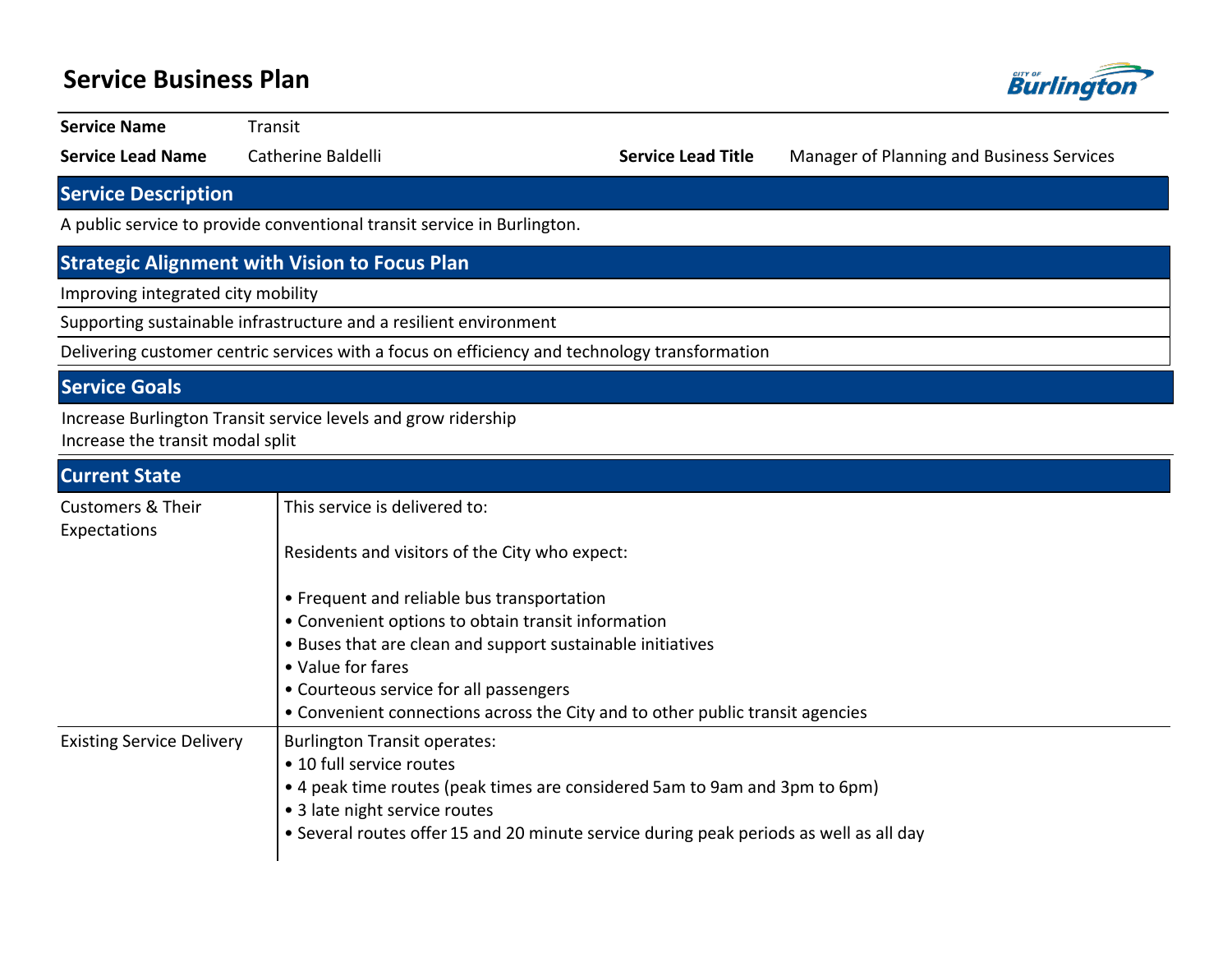## **Service Business Plan Burlingt Service Name Transit Service Lead Name** Catherine Baldelli **Service Lead Title** Manager of Planning and Business Services **Service Description** A public service to provide conventional transit service in Burlington. **Strategic Alignment with Vision to Focus Plan** Improving integrated city mobility Supporting sustainable infrastructure and a resilient environment Delivering customer centric services with a focus on efficiency and technology transformation **Service Goals** Increase Burlington Transit service levels and grow ridership Increase the transit modal split**Current State** This service is delivered to: Customers & Their

| customers of men<br>Expectations |                                                                                        |  |  |  |  |  |  |
|----------------------------------|----------------------------------------------------------------------------------------|--|--|--|--|--|--|
|                                  | Residents and visitors of the City who expect:                                         |  |  |  |  |  |  |
|                                  | • Frequent and reliable bus transportation                                             |  |  |  |  |  |  |
|                                  | • Convenient options to obtain transit information                                     |  |  |  |  |  |  |
|                                  | • Buses that are clean and support sustainable initiatives                             |  |  |  |  |  |  |
|                                  | • Value for fares                                                                      |  |  |  |  |  |  |
|                                  | • Courteous service for all passengers                                                 |  |  |  |  |  |  |
|                                  | • Convenient connections across the City and to other public transit agencies          |  |  |  |  |  |  |
| <b>Existing Service Delivery</b> | <b>Burlington Transit operates:</b>                                                    |  |  |  |  |  |  |
|                                  | • 10 full service routes                                                               |  |  |  |  |  |  |
|                                  | • 4 peak time routes (peak times are considered 5am to 9am and 3pm to 6pm)             |  |  |  |  |  |  |
|                                  | • 3 late night service routes                                                          |  |  |  |  |  |  |
|                                  | • Several routes offer 15 and 20 minute service during peak periods as well as all day |  |  |  |  |  |  |
|                                  |                                                                                        |  |  |  |  |  |  |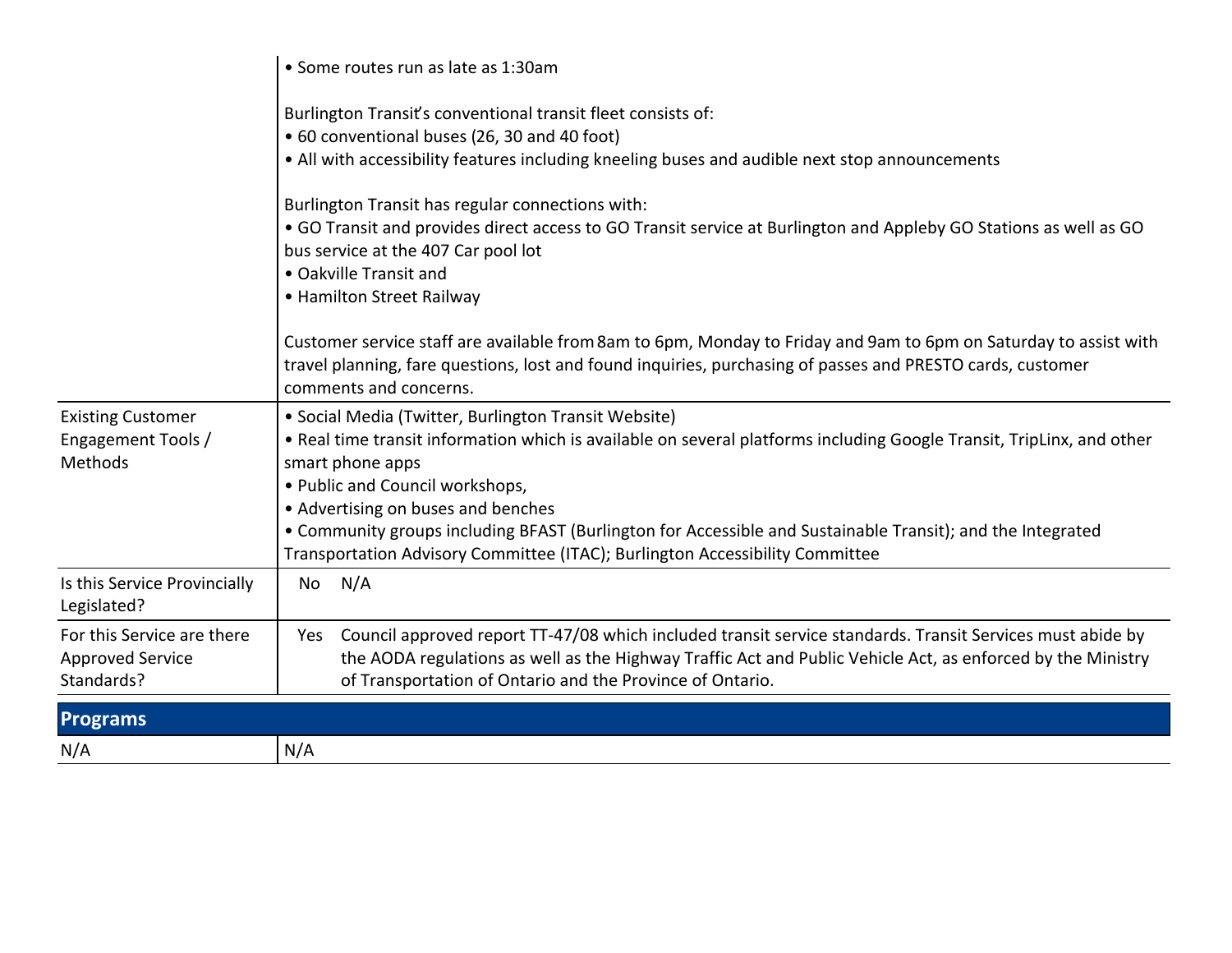|                                                                     | • Some routes run as late as 1:30am                                                                                                                                                                                                                                                                                                                                                                                                                                      |  |  |  |  |  |  |
|---------------------------------------------------------------------|--------------------------------------------------------------------------------------------------------------------------------------------------------------------------------------------------------------------------------------------------------------------------------------------------------------------------------------------------------------------------------------------------------------------------------------------------------------------------|--|--|--|--|--|--|
|                                                                     | Burlington Transit's conventional transit fleet consists of:<br>• 60 conventional buses (26, 30 and 40 foot)<br>• All with accessibility features including kneeling buses and audible next stop announcements                                                                                                                                                                                                                                                           |  |  |  |  |  |  |
|                                                                     | Burlington Transit has regular connections with:<br>• GO Transit and provides direct access to GO Transit service at Burlington and Appleby GO Stations as well as GO<br>bus service at the 407 Car pool lot<br>• Oakville Transit and<br>• Hamilton Street Railway                                                                                                                                                                                                      |  |  |  |  |  |  |
|                                                                     | Customer service staff are available from 8am to 6pm, Monday to Friday and 9am to 6pm on Saturday to assist with<br>travel planning, fare questions, lost and found inquiries, purchasing of passes and PRESTO cards, customer<br>comments and concerns.                                                                                                                                                                                                                 |  |  |  |  |  |  |
| <b>Existing Customer</b><br>Engagement Tools /<br>Methods           | • Social Media (Twitter, Burlington Transit Website)<br>. Real time transit information which is available on several platforms including Google Transit, TripLinx, and other<br>smart phone apps<br>• Public and Council workshops,<br>• Advertising on buses and benches<br>• Community groups including BFAST (Burlington for Accessible and Sustainable Transit); and the Integrated<br>Transportation Advisory Committee (ITAC); Burlington Accessibility Committee |  |  |  |  |  |  |
| Is this Service Provincially<br>Legislated?                         | N/A<br>No                                                                                                                                                                                                                                                                                                                                                                                                                                                                |  |  |  |  |  |  |
| For this Service are there<br><b>Approved Service</b><br>Standards? | Council approved report TT-47/08 which included transit service standards. Transit Services must abide by<br>Yes<br>the AODA regulations as well as the Highway Traffic Act and Public Vehicle Act, as enforced by the Ministry<br>of Transportation of Ontario and the Province of Ontario.                                                                                                                                                                             |  |  |  |  |  |  |
| <b>Programs</b>                                                     |                                                                                                                                                                                                                                                                                                                                                                                                                                                                          |  |  |  |  |  |  |
| N/A                                                                 | N/A                                                                                                                                                                                                                                                                                                                                                                                                                                                                      |  |  |  |  |  |  |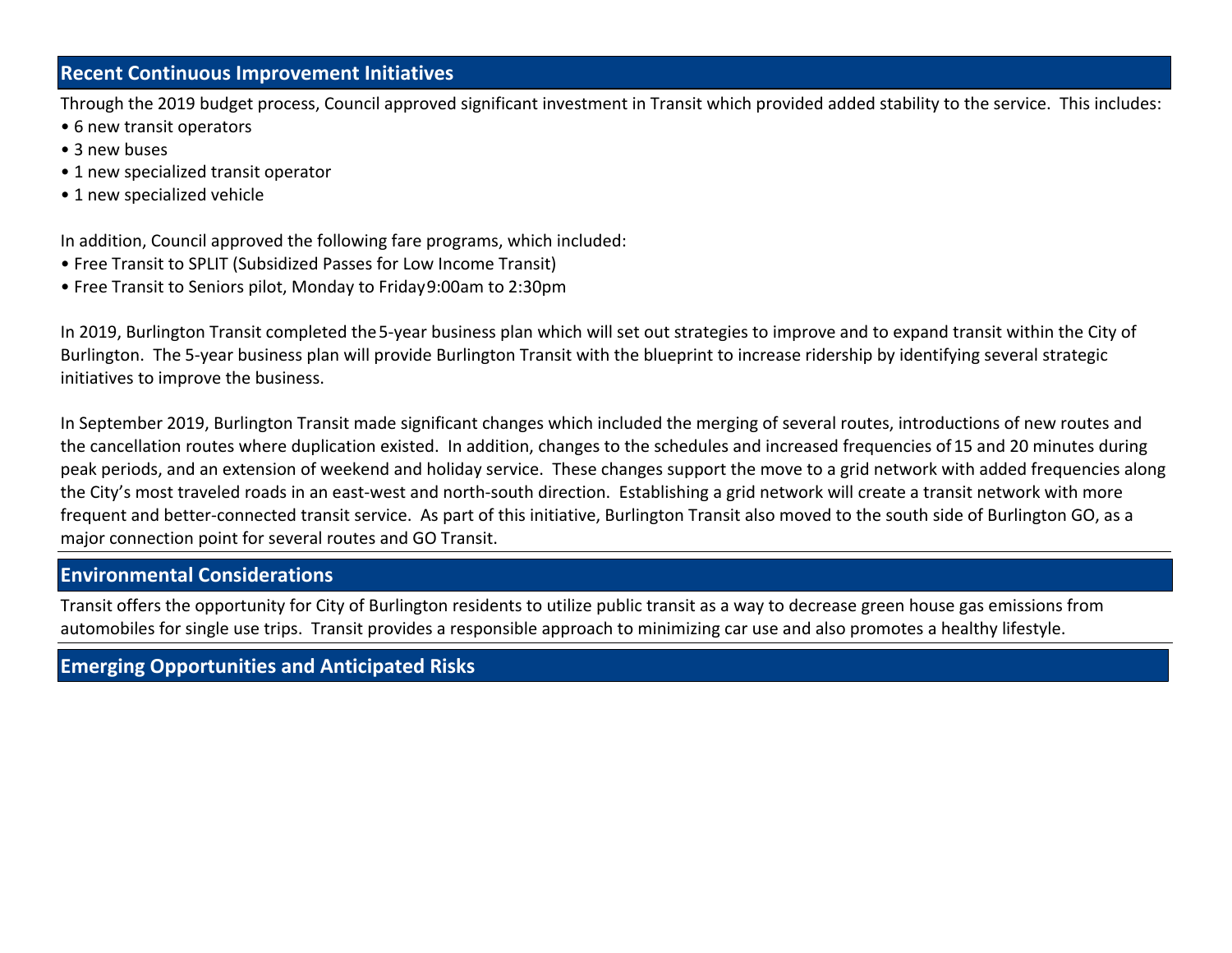### **Recent Continuous Improvement Initiatives**

Through the 2019 budget process, Council approved significant investment in Transit which provided added stability to the service. This includes:

- 6 new transit operators
- 3 new buses
- 1 new specialized transit operator
- 1 new specialized vehicle

In addition, Council approved the following fare programs, which included:

- Free Transit to SPLIT (Subsidized Passes for Low Income Transit)
- Free Transit to Seniors pilot, Monday to Friday 9:00am to 2:30pm

In 2019, Burlington Transit completed the 5-year business plan which will set out strategies to improve and to expand transit within the City of Burlington. The 5-year business plan will provide Burlington Transit with the blueprint to increase ridership by identifying several strategic initiatives to improve the business.

In September 2019, Burlington Transit made significant changes which included the merging of several routes, introductions of new routes and the cancellation routes where duplication existed. In addition, changes to the schedules and increased frequencies of 15 and 20 minutes during peak periods, and an extension of weekend and holiday service. These changes support the move to a grid network with added frequencies along the City's most traveled roads in an east-west and north-south direction. Establishing a grid network will create a transit network with more frequent and better-connected transit service. As part of this initiative, Burlington Transit also moved to the south side of Burlington GO, as a major connection point for several routes and GO Transit.

### **Environmental Considerations**

Transit offers the opportunity for City of Burlington residents to utilize public transit as a way to decrease green house gas emissions from automobiles for single use trips. Transit provides a responsible approach to minimizing car use and also promotes a healthy lifestyle.

## **Emerging Opportunities and Anticipated Risks**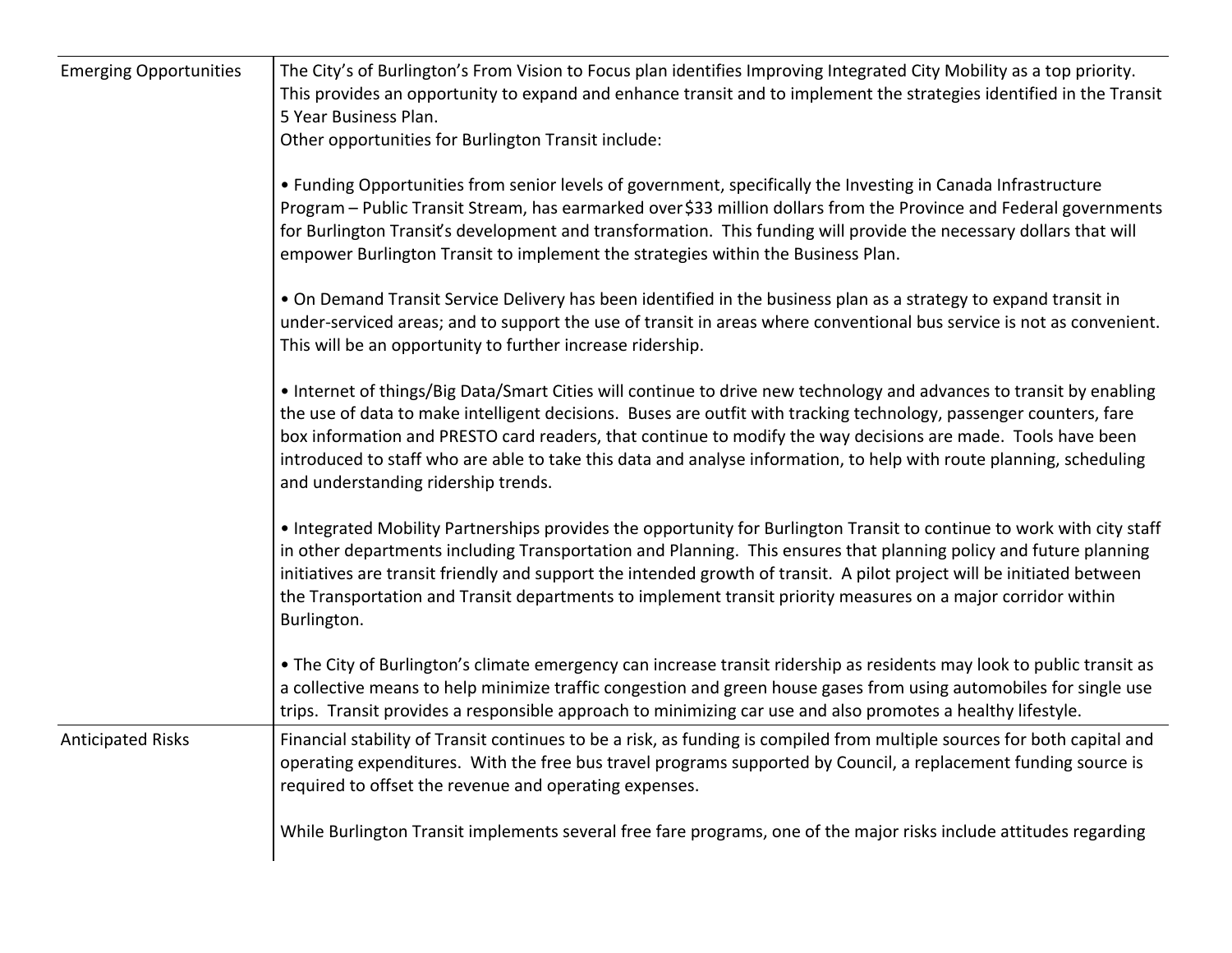| <b>Emerging Opportunities</b> | The City's of Burlington's From Vision to Focus plan identifies Improving Integrated City Mobility as a top priority.<br>This provides an opportunity to expand and enhance transit and to implement the strategies identified in the Transit<br>5 Year Business Plan.<br>Other opportunities for Burlington Transit include:                                                                                                                                                                                            |  |  |  |  |  |  |
|-------------------------------|--------------------------------------------------------------------------------------------------------------------------------------------------------------------------------------------------------------------------------------------------------------------------------------------------------------------------------------------------------------------------------------------------------------------------------------------------------------------------------------------------------------------------|--|--|--|--|--|--|
|                               | • Funding Opportunities from senior levels of government, specifically the Investing in Canada Infrastructure<br>Program - Public Transit Stream, has earmarked over \$33 million dollars from the Province and Federal governments<br>for Burlington Transit's development and transformation. This funding will provide the necessary dollars that will<br>empower Burlington Transit to implement the strategies within the Business Plan.                                                                            |  |  |  |  |  |  |
|                               | . On Demand Transit Service Delivery has been identified in the business plan as a strategy to expand transit in<br>under-serviced areas; and to support the use of transit in areas where conventional bus service is not as convenient.<br>This will be an opportunity to further increase ridership.                                                                                                                                                                                                                  |  |  |  |  |  |  |
|                               | • Internet of things/Big Data/Smart Cities will continue to drive new technology and advances to transit by enabling<br>the use of data to make intelligent decisions. Buses are outfit with tracking technology, passenger counters, fare<br>box information and PRESTO card readers, that continue to modify the way decisions are made. Tools have been<br>introduced to staff who are able to take this data and analyse information, to help with route planning, scheduling<br>and understanding ridership trends. |  |  |  |  |  |  |
|                               | • Integrated Mobility Partnerships provides the opportunity for Burlington Transit to continue to work with city staff<br>in other departments including Transportation and Planning. This ensures that planning policy and future planning<br>initiatives are transit friendly and support the intended growth of transit. A pilot project will be initiated between<br>the Transportation and Transit departments to implement transit priority measures on a major corridor within<br>Burlington.                     |  |  |  |  |  |  |
|                               | • The City of Burlington's climate emergency can increase transit ridership as residents may look to public transit as<br>a collective means to help minimize traffic congestion and green house gases from using automobiles for single use<br>trips. Transit provides a responsible approach to minimizing car use and also promotes a healthy lifestyle.                                                                                                                                                              |  |  |  |  |  |  |
| <b>Anticipated Risks</b>      | Financial stability of Transit continues to be a risk, as funding is compiled from multiple sources for both capital and<br>operating expenditures. With the free bus travel programs supported by Council, a replacement funding source is<br>required to offset the revenue and operating expenses.                                                                                                                                                                                                                    |  |  |  |  |  |  |
|                               | While Burlington Transit implements several free fare programs, one of the major risks include attitudes regarding                                                                                                                                                                                                                                                                                                                                                                                                       |  |  |  |  |  |  |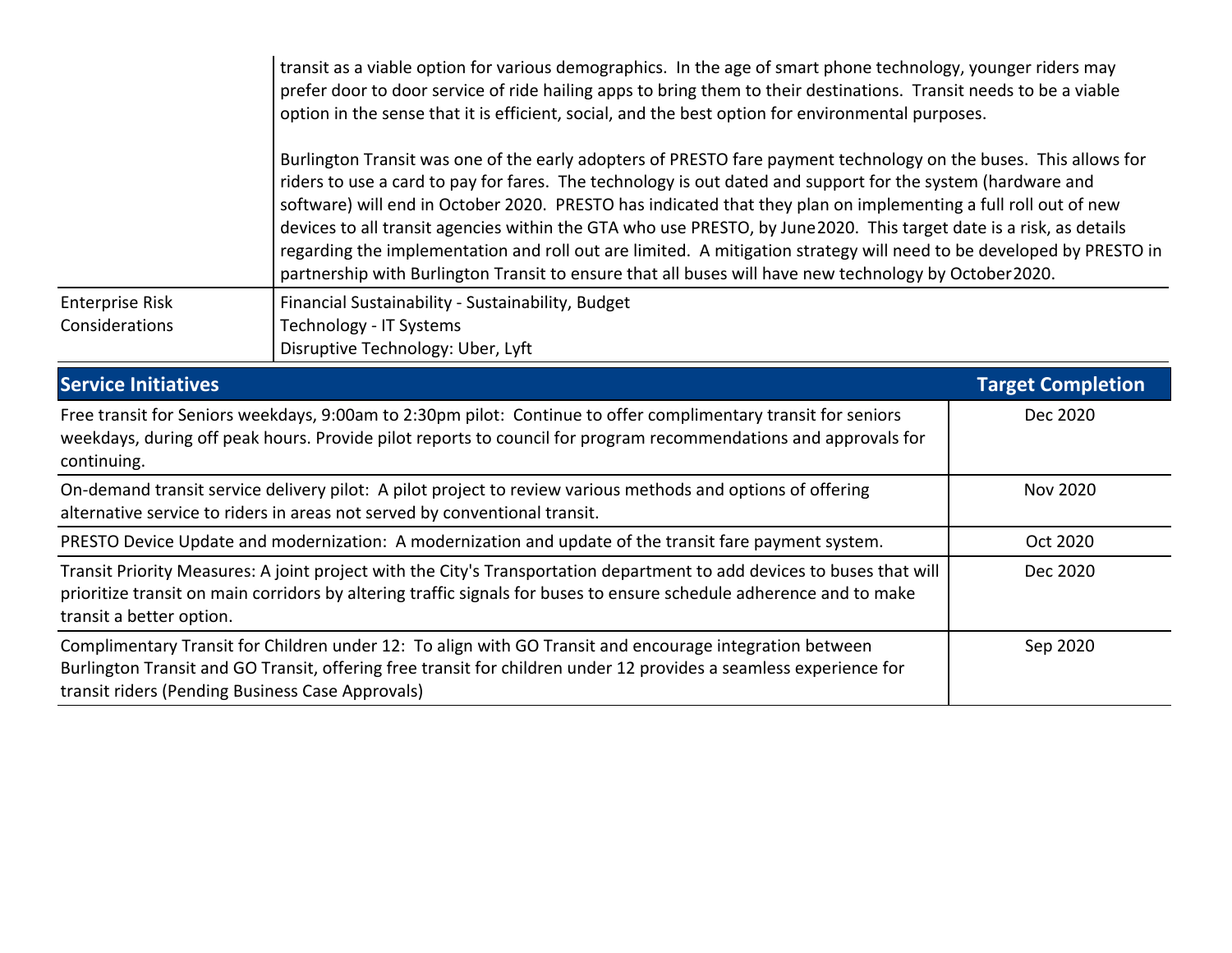|                                                                                                                                                                                                                                                                                  | transit as a viable option for various demographics. In the age of smart phone technology, younger riders may<br>prefer door to door service of ride hailing apps to bring them to their destinations. Transit needs to be a viable<br>option in the sense that it is efficient, social, and the best option for environmental purposes.                                                                                                                                                                                                                                                                                                                                                                 |                          |  |  |  |  |
|----------------------------------------------------------------------------------------------------------------------------------------------------------------------------------------------------------------------------------------------------------------------------------|----------------------------------------------------------------------------------------------------------------------------------------------------------------------------------------------------------------------------------------------------------------------------------------------------------------------------------------------------------------------------------------------------------------------------------------------------------------------------------------------------------------------------------------------------------------------------------------------------------------------------------------------------------------------------------------------------------|--------------------------|--|--|--|--|
|                                                                                                                                                                                                                                                                                  | Burlington Transit was one of the early adopters of PRESTO fare payment technology on the buses. This allows for<br>riders to use a card to pay for fares. The technology is out dated and support for the system (hardware and<br>software) will end in October 2020. PRESTO has indicated that they plan on implementing a full roll out of new<br>devices to all transit agencies within the GTA who use PRESTO, by June2020. This target date is a risk, as details<br>regarding the implementation and roll out are limited. A mitigation strategy will need to be developed by PRESTO in<br>partnership with Burlington Transit to ensure that all buses will have new technology by October 2020. |                          |  |  |  |  |
| <b>Enterprise Risk</b><br>Considerations                                                                                                                                                                                                                                         | Financial Sustainability - Sustainability, Budget<br>Technology - IT Systems<br>Disruptive Technology: Uber, Lyft                                                                                                                                                                                                                                                                                                                                                                                                                                                                                                                                                                                        |                          |  |  |  |  |
| <b>Service Initiatives</b>                                                                                                                                                                                                                                                       |                                                                                                                                                                                                                                                                                                                                                                                                                                                                                                                                                                                                                                                                                                          | <b>Target Completion</b> |  |  |  |  |
| Free transit for Seniors weekdays, 9:00am to 2:30pm pilot: Continue to offer complimentary transit for seniors<br>weekdays, during off peak hours. Provide pilot reports to council for program recommendations and approvals for<br>continuing.                                 | Dec 2020                                                                                                                                                                                                                                                                                                                                                                                                                                                                                                                                                                                                                                                                                                 |                          |  |  |  |  |
| On-demand transit service delivery pilot: A pilot project to review various methods and options of offering<br>alternative service to riders in areas not served by conventional transit.                                                                                        | <b>Nov 2020</b>                                                                                                                                                                                                                                                                                                                                                                                                                                                                                                                                                                                                                                                                                          |                          |  |  |  |  |
| PRESTO Device Update and modernization: A modernization and update of the transit fare payment system.                                                                                                                                                                           | Oct 2020                                                                                                                                                                                                                                                                                                                                                                                                                                                                                                                                                                                                                                                                                                 |                          |  |  |  |  |
| Transit Priority Measures: A joint project with the City's Transportation department to add devices to buses that will<br>prioritize transit on main corridors by altering traffic signals for buses to ensure schedule adherence and to make<br>transit a better option.        | Dec 2020                                                                                                                                                                                                                                                                                                                                                                                                                                                                                                                                                                                                                                                                                                 |                          |  |  |  |  |
| Complimentary Transit for Children under 12: To align with GO Transit and encourage integration between<br>Burlington Transit and GO Transit, offering free transit for children under 12 provides a seamless experience for<br>transit riders (Pending Business Case Approvals) | Sep 2020                                                                                                                                                                                                                                                                                                                                                                                                                                                                                                                                                                                                                                                                                                 |                          |  |  |  |  |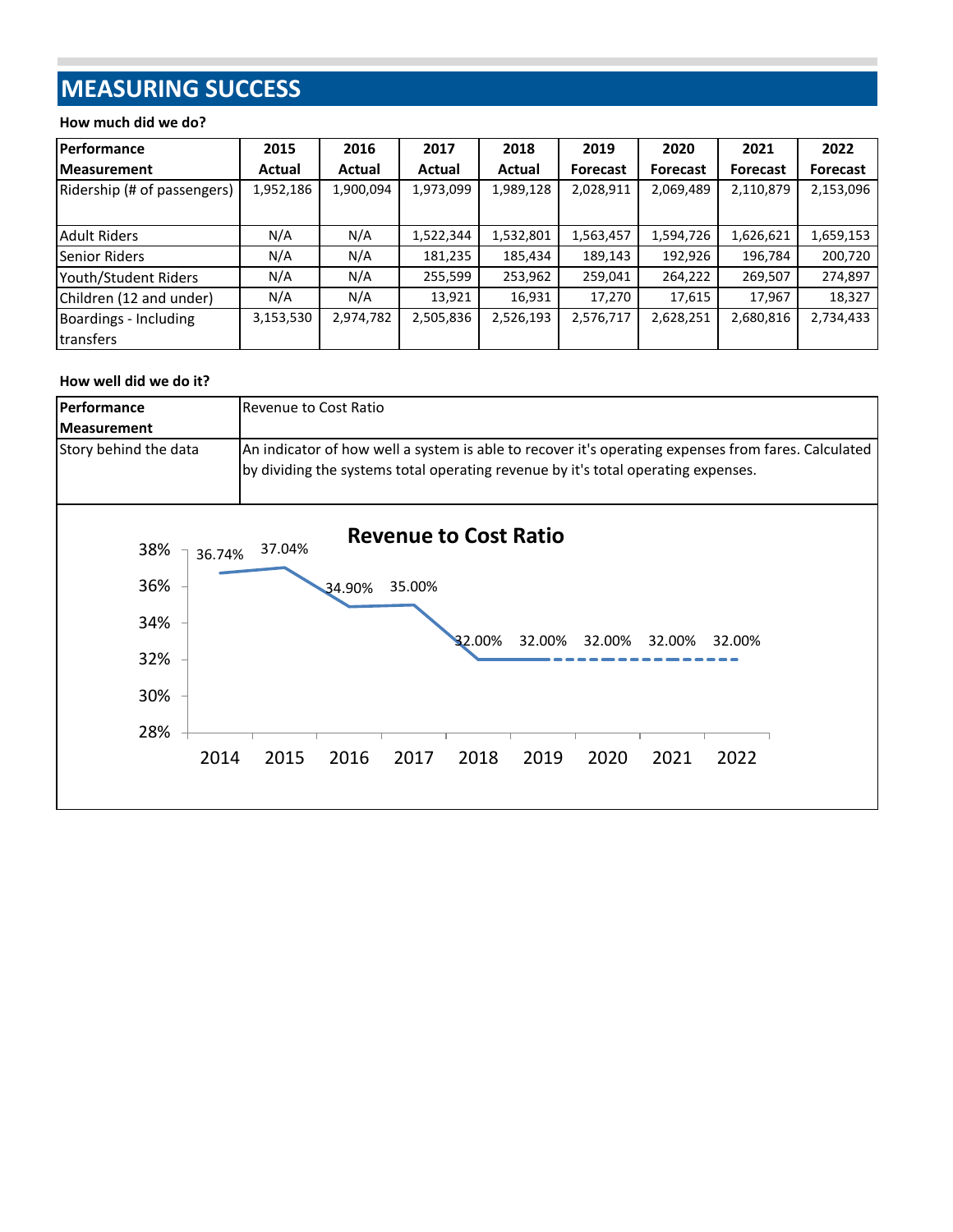# **MEASURING SUCCESS**

#### **How much did we do?**

| Performance                 | 2015      | 2016      | 2017      | 2018      | 2019            | 2020            | 2021            | 2022            |
|-----------------------------|-----------|-----------|-----------|-----------|-----------------|-----------------|-----------------|-----------------|
| <b>IMeasurement</b>         | Actual    | Actual    | Actual    | Actual    | <b>Forecast</b> | <b>Forecast</b> | <b>Forecast</b> | <b>Forecast</b> |
| Ridership (# of passengers) | 1,952,186 | 1,900,094 | 1,973,099 | 1,989,128 | 2,028,911       | 2,069,489       | 2,110,879       | 2,153,096       |
|                             |           |           |           |           |                 |                 |                 |                 |
| <b>Adult Riders</b>         | N/A       | N/A       | 1,522,344 | 1,532,801 | 1,563,457       | 1,594,726       | 1,626,621       | 1,659,153       |
| Senior Riders               | N/A       | N/A       | 181,235   | 185,434   | 189,143         | 192,926         | 196,784         | 200,720         |
| Youth/Student Riders        | N/A       | N/A       | 255,599   | 253,962   | 259,041         | 264,222         | 269,507         | 274,897         |
| Children (12 and under)     | N/A       | N/A       | 13,921    | 16,931    | 17,270          | 17,615          | 17,967          | 18,327          |
| Boardings - Including       | 3,153,530 | 2,974,782 | 2,505,836 | 2,526,193 | 2,576,717       | 2,628,251       | 2,680,816       | 2,734,433       |
| transfers                   |           |           |           |           |                 |                 |                 |                 |

#### **How well did we do it?**

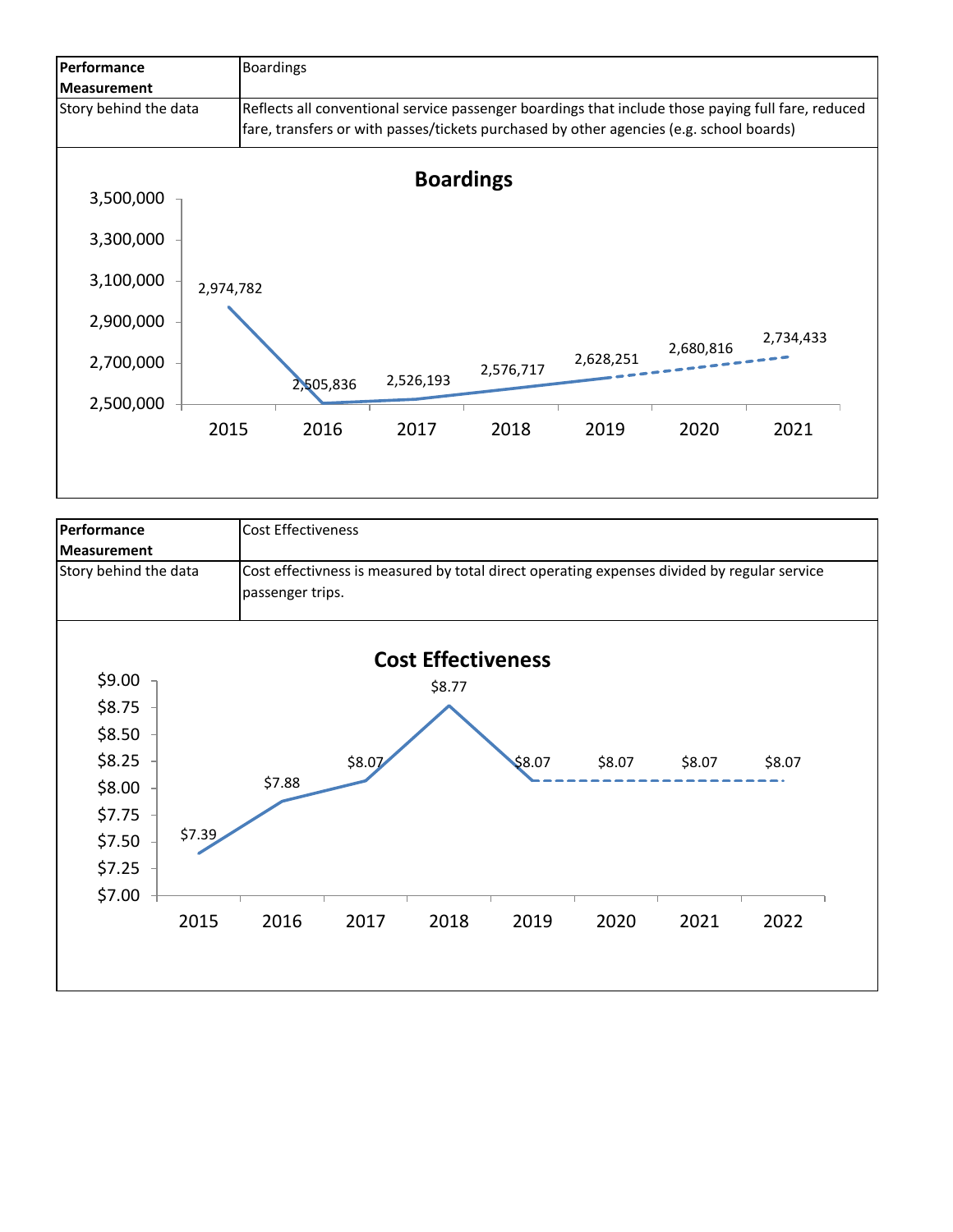